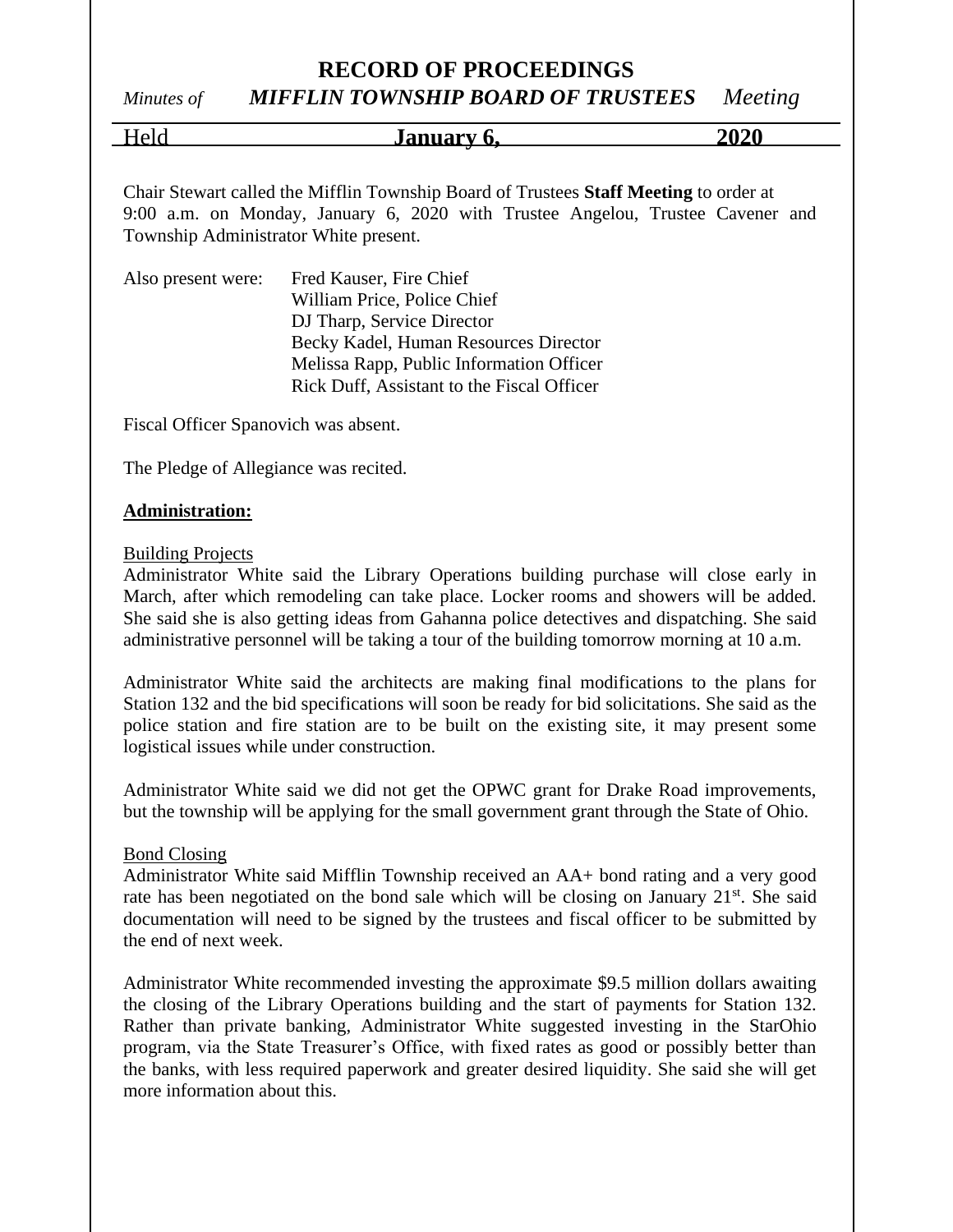#### *Minutes of MIFFLIN TOWNSHIP BOARD OF TRUSTEES Meeting*

Held **January 6,** 2020

Chair Stewart called the Mifflin Township Board of Trustees **Staff Meeting** to order at 9:00 a.m. on Monday, January 6, 2020 with Trustee Angelou, Trustee Cavener and Township Administrator White present.

| Also present were: | Fred Kauser, Fire Chief                    |
|--------------------|--------------------------------------------|
|                    | William Price, Police Chief                |
|                    | DJ Tharp, Service Director                 |
|                    | Becky Kadel, Human Resources Director      |
|                    | Melissa Rapp, Public Information Officer   |
|                    | Rick Duff, Assistant to the Fiscal Officer |

Fiscal Officer Spanovich was absent.

The Pledge of Allegiance was recited.

#### **Administration:**

#### **Building Projects**

Administrator White said the Library Operations building purchase will close early in March, after which remodeling can take place. Locker rooms and showers will be added. She said she is also getting ideas from Gahanna police detectives and dispatching. She said administrative personnel will be taking a tour of the building tomorrow morning at 10 a.m.

Administrator White said the architects are making final modifications to the plans for Station 132 and the bid specifications will soon be ready for bid solicitations. She said as the police station and fire station are to be built on the existing site, it may present some logistical issues while under construction.

Administrator White said we did not get the OPWC grant for Drake Road improvements, but the township will be applying for the small government grant through the State of Ohio.

#### Bond Closing

Administrator White said Mifflin Township received an AA+ bond rating and a very good rate has been negotiated on the bond sale which will be closing on January 21<sup>st</sup>. She said documentation will need to be signed by the trustees and fiscal officer to be submitted by the end of next week.

Administrator White recommended investing the approximate \$9.5 million dollars awaiting the closing of the Library Operations building and the start of payments for Station 132. Rather than private banking, Administrator White suggested investing in the StarOhio program, via the State Treasurer's Office, with fixed rates as good or possibly better than the banks, with less required paperwork and greater desired liquidity. She said she will get more information about this.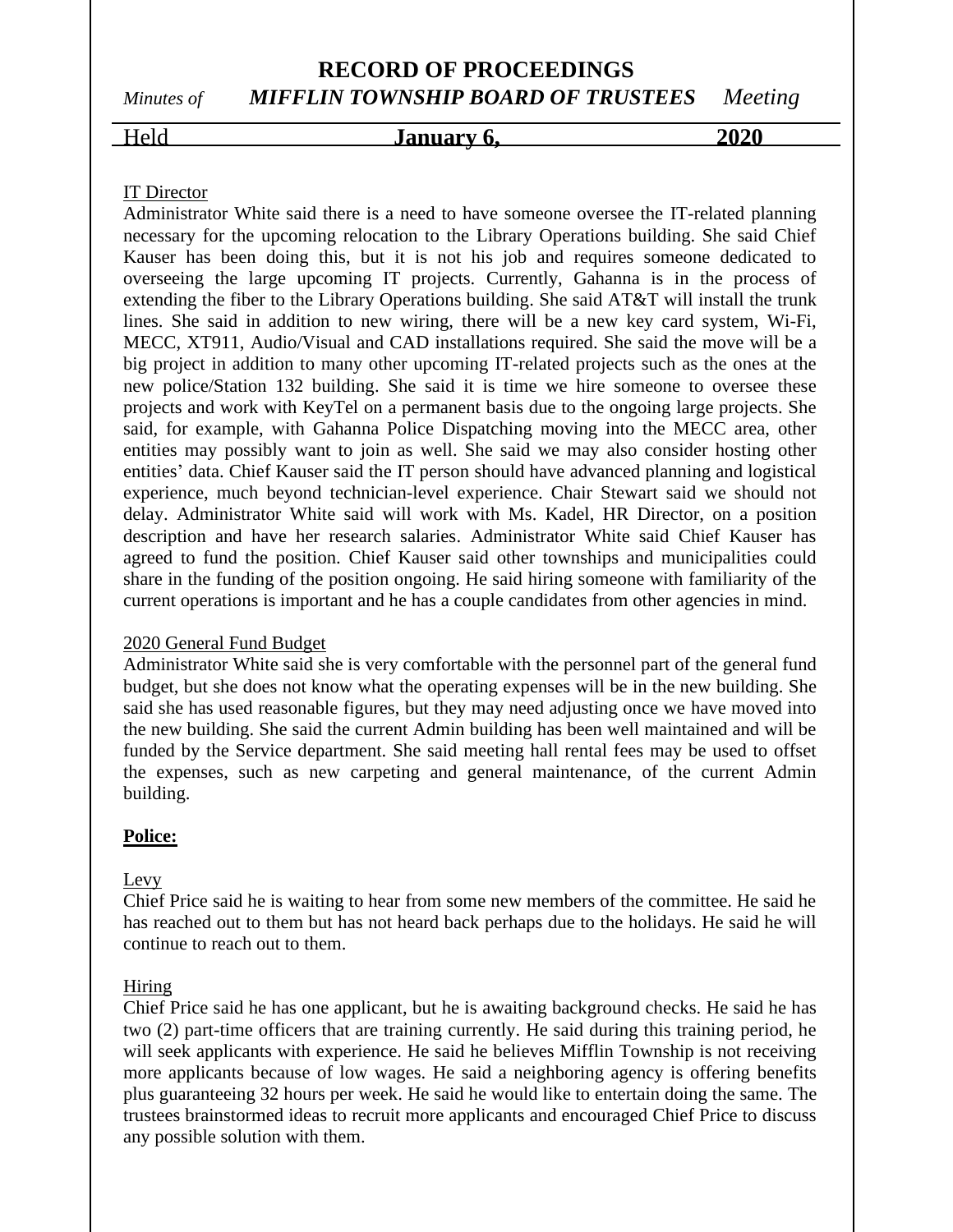### **RECORD OF PROCEEDINGS** *Minutes of MIFFLIN TOWNSHIP BOARD OF TRUSTEES Meeting*

### Held **January 6,** 2020

#### IT Director

Administrator White said there is a need to have someone oversee the IT-related planning necessary for the upcoming relocation to the Library Operations building. She said Chief Kauser has been doing this, but it is not his job and requires someone dedicated to overseeing the large upcoming IT projects. Currently, Gahanna is in the process of extending the fiber to the Library Operations building. She said AT&T will install the trunk lines. She said in addition to new wiring, there will be a new key card system, Wi-Fi, MECC, XT911, Audio/Visual and CAD installations required. She said the move will be a big project in addition to many other upcoming IT-related projects such as the ones at the new police/Station 132 building. She said it is time we hire someone to oversee these projects and work with KeyTel on a permanent basis due to the ongoing large projects. She said, for example, with Gahanna Police Dispatching moving into the MECC area, other entities may possibly want to join as well. She said we may also consider hosting other entities' data. Chief Kauser said the IT person should have advanced planning and logistical experience, much beyond technician-level experience. Chair Stewart said we should not delay. Administrator White said will work with Ms. Kadel, HR Director, on a position description and have her research salaries. Administrator White said Chief Kauser has agreed to fund the position. Chief Kauser said other townships and municipalities could share in the funding of the position ongoing. He said hiring someone with familiarity of the current operations is important and he has a couple candidates from other agencies in mind.

#### 2020 General Fund Budget

Administrator White said she is very comfortable with the personnel part of the general fund budget, but she does not know what the operating expenses will be in the new building. She said she has used reasonable figures, but they may need adjusting once we have moved into the new building. She said the current Admin building has been well maintained and will be funded by the Service department. She said meeting hall rental fees may be used to offset the expenses, such as new carpeting and general maintenance, of the current Admin building.

#### **Police:**

#### Levy

Chief Price said he is waiting to hear from some new members of the committee. He said he has reached out to them but has not heard back perhaps due to the holidays. He said he will continue to reach out to them.

#### Hiring

Chief Price said he has one applicant, but he is awaiting background checks. He said he has two (2) part-time officers that are training currently. He said during this training period, he will seek applicants with experience. He said he believes Mifflin Township is not receiving more applicants because of low wages. He said a neighboring agency is offering benefits plus guaranteeing 32 hours per week. He said he would like to entertain doing the same. The trustees brainstormed ideas to recruit more applicants and encouraged Chief Price to discuss any possible solution with them.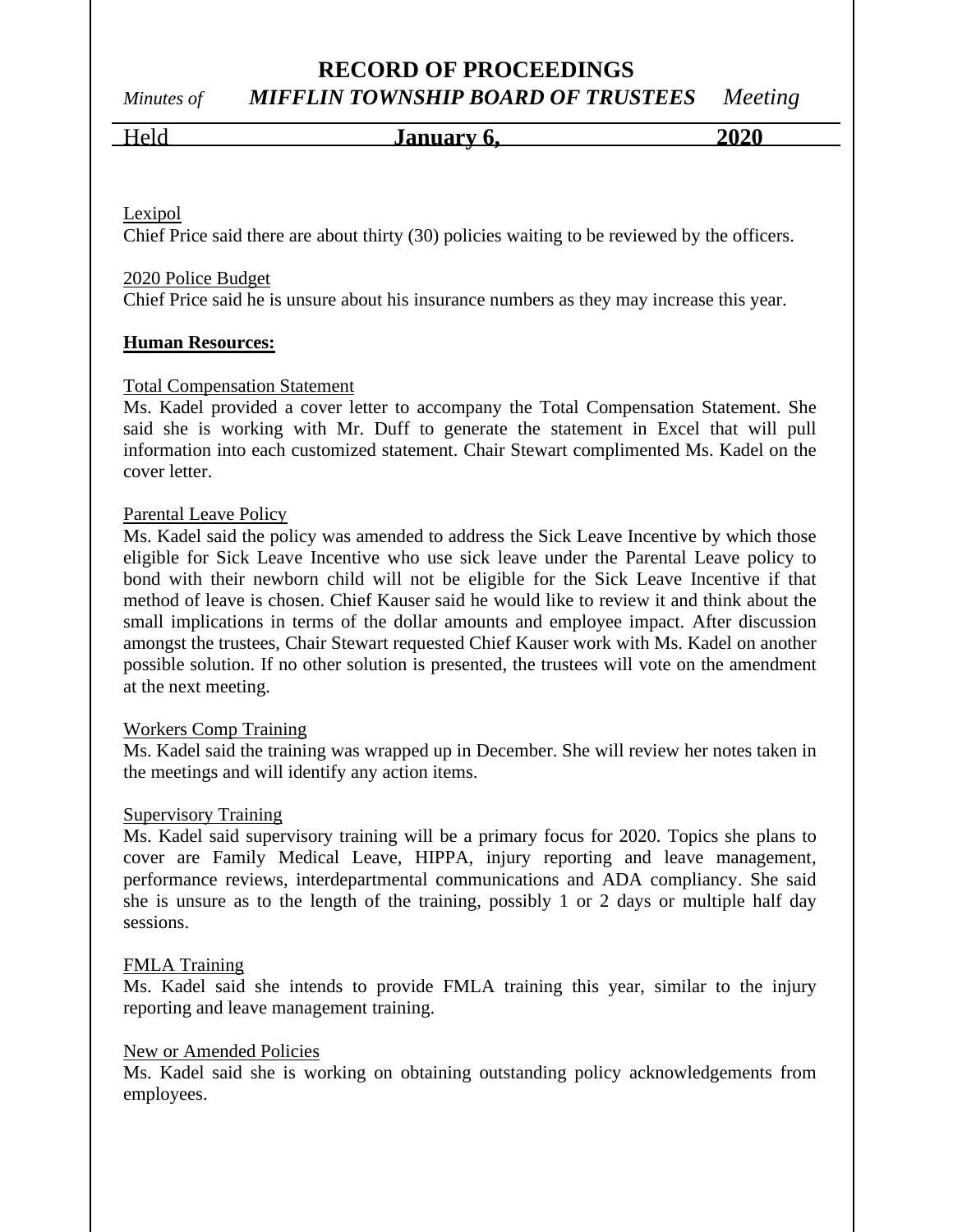## *Minutes of MIFFLIN TOWNSHIP BOARD OF TRUSTEES Meeting*

#### Held **January 6, 2020**

Lexipol

Chief Price said there are about thirty (30) policies waiting to be reviewed by the officers.

#### 2020 Police Budget

Chief Price said he is unsure about his insurance numbers as they may increase this year.

#### **Human Resources:**

#### Total Compensation Statement

Ms. Kadel provided a cover letter to accompany the Total Compensation Statement. She said she is working with Mr. Duff to generate the statement in Excel that will pull information into each customized statement. Chair Stewart complimented Ms. Kadel on the cover letter.

#### Parental Leave Policy

Ms. Kadel said the policy was amended to address the Sick Leave Incentive by which those eligible for Sick Leave Incentive who use sick leave under the Parental Leave policy to bond with their newborn child will not be eligible for the Sick Leave Incentive if that method of leave is chosen. Chief Kauser said he would like to review it and think about the small implications in terms of the dollar amounts and employee impact. After discussion amongst the trustees, Chair Stewart requested Chief Kauser work with Ms. Kadel on another possible solution. If no other solution is presented, the trustees will vote on the amendment at the next meeting.

#### Workers Comp Training

Ms. Kadel said the training was wrapped up in December. She will review her notes taken in the meetings and will identify any action items.

#### Supervisory Training

Ms. Kadel said supervisory training will be a primary focus for 2020. Topics she plans to cover are Family Medical Leave, HIPPA, injury reporting and leave management, performance reviews, interdepartmental communications and ADA compliancy. She said she is unsure as to the length of the training, possibly 1 or 2 days or multiple half day sessions.

#### FMLA Training

Ms. Kadel said she intends to provide FMLA training this year, similar to the injury reporting and leave management training.

#### New or Amended Policies

Ms. Kadel said she is working on obtaining outstanding policy acknowledgements from employees.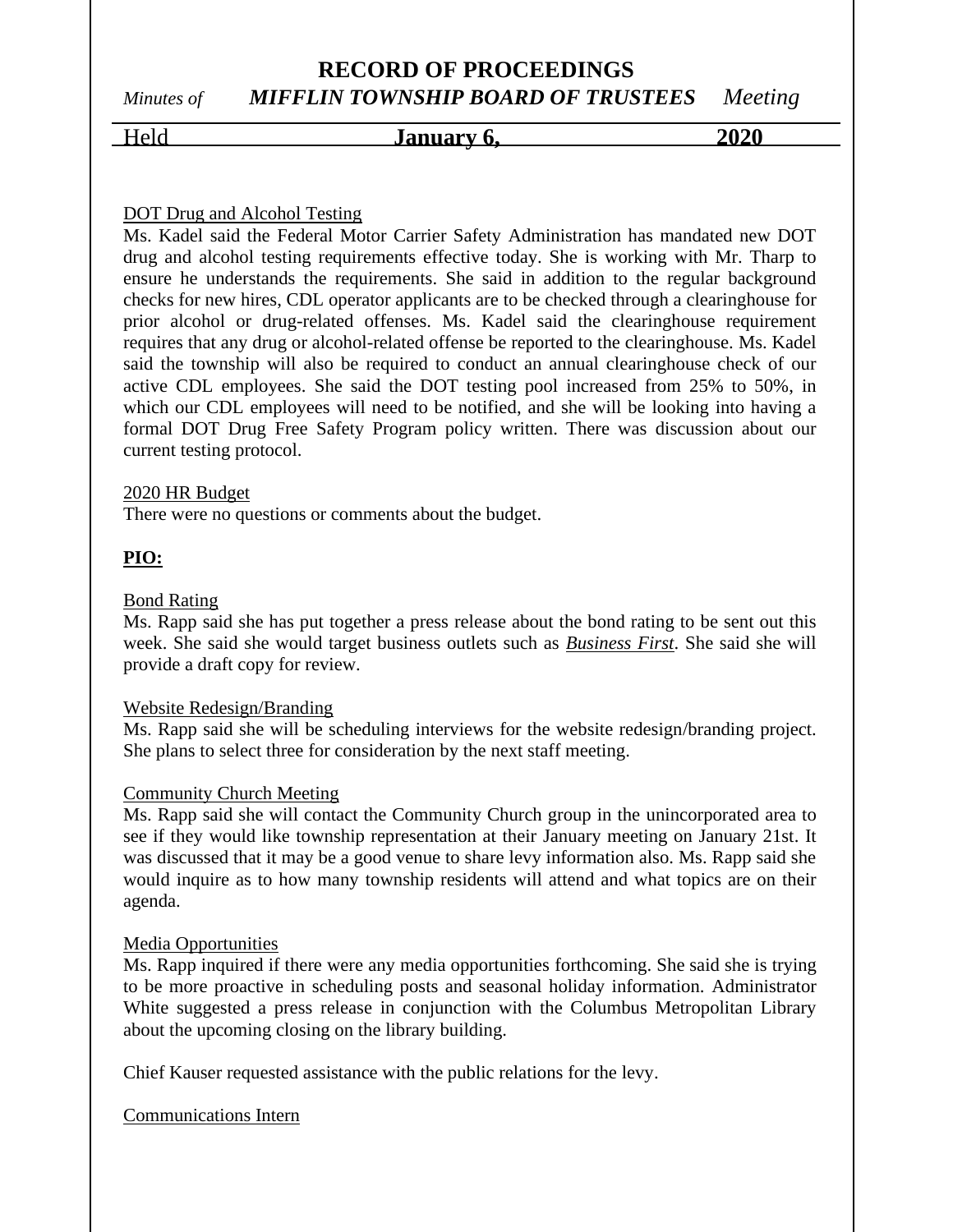### **RECORD OF PROCEEDINGS** *Minutes of MIFFLIN TOWNSHIP BOARD OF TRUSTEES Meeting*

# Held **January 6, 2020**

### DOT Drug and Alcohol Testing

Ms. Kadel said the Federal Motor Carrier Safety Administration has mandated new DOT drug and alcohol testing requirements effective today. She is working with Mr. Tharp to ensure he understands the requirements. She said in addition to the regular background checks for new hires, CDL operator applicants are to be checked through a clearinghouse for prior alcohol or drug-related offenses. Ms. Kadel said the clearinghouse requirement requires that any drug or alcohol-related offense be reported to the clearinghouse. Ms. Kadel said the township will also be required to conduct an annual clearinghouse check of our active CDL employees. She said the DOT testing pool increased from 25% to 50%, in which our CDL employees will need to be notified, and she will be looking into having a formal DOT Drug Free Safety Program policy written. There was discussion about our current testing protocol.

#### 2020 HR Budget

There were no questions or comments about the budget.

#### **PIO:**

#### Bond Rating

Ms. Rapp said she has put together a press release about the bond rating to be sent out this week. She said she would target business outlets such as *Business First*. She said she will provide a draft copy for review.

#### Website Redesign/Branding

Ms. Rapp said she will be scheduling interviews for the website redesign/branding project. She plans to select three for consideration by the next staff meeting.

#### Community Church Meeting

Ms. Rapp said she will contact the Community Church group in the unincorporated area to see if they would like township representation at their January meeting on January 21st. It was discussed that it may be a good venue to share levy information also. Ms. Rapp said she would inquire as to how many township residents will attend and what topics are on their agenda.

#### Media Opportunities

Ms. Rapp inquired if there were any media opportunities forthcoming. She said she is trying to be more proactive in scheduling posts and seasonal holiday information. Administrator White suggested a press release in conjunction with the Columbus Metropolitan Library about the upcoming closing on the library building.

Chief Kauser requested assistance with the public relations for the levy.

#### Communications Intern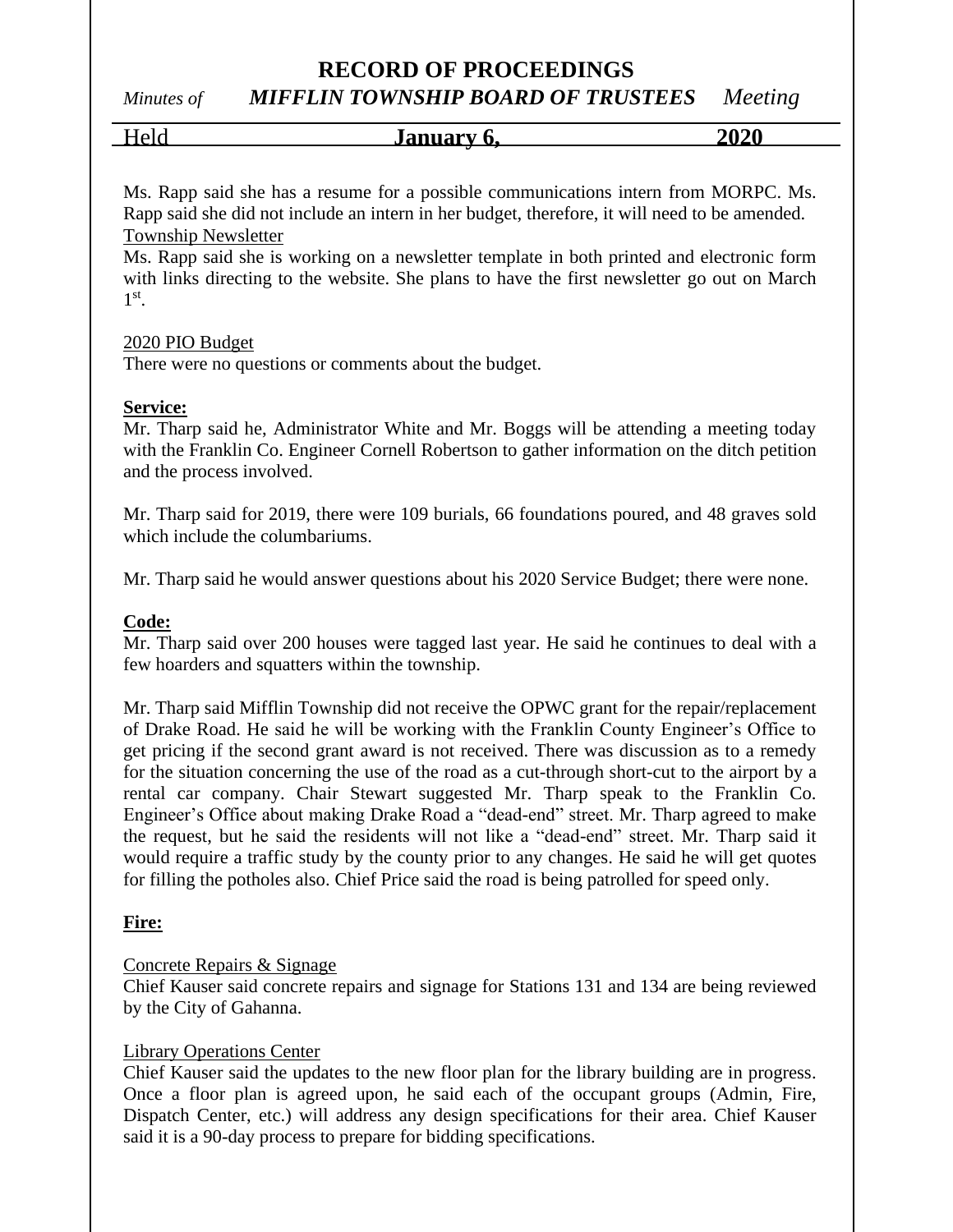#### *Minutes of MIFFLIN TOWNSHIP BOARD OF TRUSTEES Meeting*

Held **January 6,** 2020

Ms. Rapp said she has a resume for a possible communications intern from MORPC. Ms. Rapp said she did not include an intern in her budget, therefore, it will need to be amended. Township Newsletter

Ms. Rapp said she is working on a newsletter template in both printed and electronic form with links directing to the website. She plans to have the first newsletter go out on March 1 st .

#### 2020 PIO Budget

There were no questions or comments about the budget.

#### **Service:**

Mr. Tharp said he, Administrator White and Mr. Boggs will be attending a meeting today with the Franklin Co. Engineer Cornell Robertson to gather information on the ditch petition and the process involved.

Mr. Tharp said for 2019, there were 109 burials, 66 foundations poured, and 48 graves sold which include the columbariums.

Mr. Tharp said he would answer questions about his 2020 Service Budget; there were none.

#### **Code:**

Mr. Tharp said over 200 houses were tagged last year. He said he continues to deal with a few hoarders and squatters within the township.

Mr. Tharp said Mifflin Township did not receive the OPWC grant for the repair/replacement of Drake Road. He said he will be working with the Franklin County Engineer's Office to get pricing if the second grant award is not received. There was discussion as to a remedy for the situation concerning the use of the road as a cut-through short-cut to the airport by a rental car company. Chair Stewart suggested Mr. Tharp speak to the Franklin Co. Engineer's Office about making Drake Road a "dead-end" street. Mr. Tharp agreed to make the request, but he said the residents will not like a "dead-end" street. Mr. Tharp said it would require a traffic study by the county prior to any changes. He said he will get quotes for filling the potholes also. Chief Price said the road is being patrolled for speed only.

#### **Fire:**

#### Concrete Repairs & Signage

Chief Kauser said concrete repairs and signage for Stations 131 and 134 are being reviewed by the City of Gahanna.

#### Library Operations Center

Chief Kauser said the updates to the new floor plan for the library building are in progress. Once a floor plan is agreed upon, he said each of the occupant groups (Admin, Fire, Dispatch Center, etc.) will address any design specifications for their area. Chief Kauser said it is a 90-day process to prepare for bidding specifications.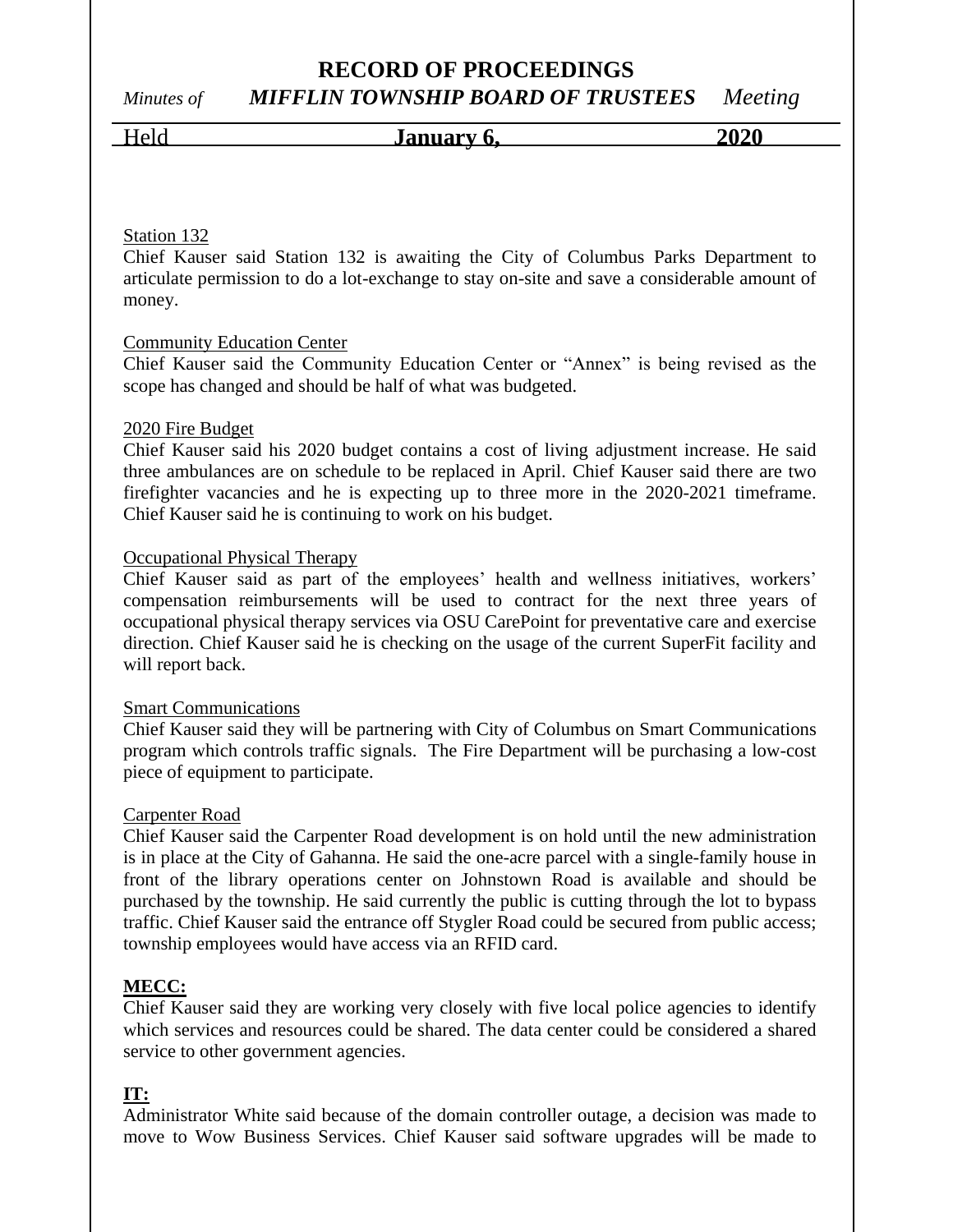### **RECORD OF PROCEEDINGS** *Minutes of MIFFLIN TOWNSHIP BOARD OF TRUSTEES Meeting*

# Held **January 6, 2020**

#### Station 132

Chief Kauser said Station 132 is awaiting the City of Columbus Parks Department to articulate permission to do a lot-exchange to stay on-site and save a considerable amount of money.

#### Community Education Center

Chief Kauser said the Community Education Center or "Annex" is being revised as the scope has changed and should be half of what was budgeted.

#### 2020 Fire Budget

Chief Kauser said his 2020 budget contains a cost of living adjustment increase. He said three ambulances are on schedule to be replaced in April. Chief Kauser said there are two firefighter vacancies and he is expecting up to three more in the 2020-2021 timeframe. Chief Kauser said he is continuing to work on his budget.

#### Occupational Physical Therapy

Chief Kauser said as part of the employees' health and wellness initiatives, workers' compensation reimbursements will be used to contract for the next three years of occupational physical therapy services via OSU CarePoint for preventative care and exercise direction. Chief Kauser said he is checking on the usage of the current SuperFit facility and will report back.

#### Smart Communications

Chief Kauser said they will be partnering with City of Columbus on Smart Communications program which controls traffic signals. The Fire Department will be purchasing a low-cost piece of equipment to participate.

#### Carpenter Road

Chief Kauser said the Carpenter Road development is on hold until the new administration is in place at the City of Gahanna. He said the one-acre parcel with a single-family house in front of the library operations center on Johnstown Road is available and should be purchased by the township. He said currently the public is cutting through the lot to bypass traffic. Chief Kauser said the entrance off Stygler Road could be secured from public access; township employees would have access via an RFID card.

#### **MECC:**

Chief Kauser said they are working very closely with five local police agencies to identify which services and resources could be shared. The data center could be considered a shared service to other government agencies.

#### **IT:**

Administrator White said because of the domain controller outage, a decision was made to move to Wow Business Services. Chief Kauser said software upgrades will be made to